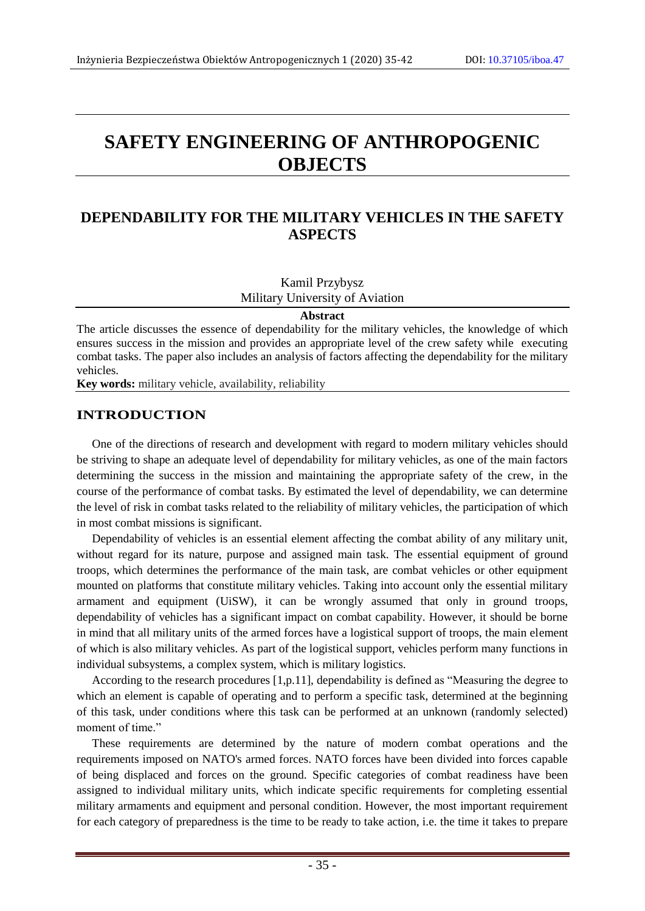# **SAFETY ENGINEERING OF ANTHROPOGENIC OBJECTS**

## **DEPENDABILITY FOR THE MILITARY VEHICLES IN THE SAFETY ASPECTS**

Kamil Przybysz Military University of Aviation

#### **Abstract**

The article discusses the essence of dependability for the military vehicles, the knowledge of which ensures success in the mission and provides an appropriate level of the crew safety while executing combat tasks. The paper also includes an analysis of factors affecting the dependability for the military vehicles.

**Key words:** military vehicle, availability, reliability

#### **INTRODUCTION**

One of the directions of research and development with regard to modern military vehicles should be striving to shape an adequate level of dependability for military vehicles, as one of the main factors determining the success in the mission and maintaining the appropriate safety of the crew, in the course of the performance of combat tasks. By estimated the level of dependability, we can determine the level of risk in combat tasks related to the reliability of military vehicles, the participation of which in most combat missions is significant.

Dependability of vehicles is an essential element affecting the combat ability of any military unit, without regard for its nature, purpose and assigned main task. The essential equipment of ground troops, which determines the performance of the main task, are combat vehicles or other equipment mounted on platforms that constitute military vehicles. Taking into account only the essential military armament and equipment (UiSW), it can be wrongly assumed that only in ground troops, dependability of vehicles has a significant impact on combat capability. However, it should be borne in mind that all military units of the armed forces have a logistical support of troops, the main element of which is also military vehicles. As part of the logistical support, vehicles perform many functions in individual subsystems, a complex system, which is military logistics.

According to the research procedures [1,p.11], dependability is defined as "Measuring the degree to which an element is capable of operating and to perform a specific task, determined at the beginning of this task, under conditions where this task can be performed at an unknown (randomly selected) moment of time."

These requirements are determined by the nature of modern combat operations and the requirements imposed on NATO's armed forces. NATO forces have been divided into forces capable of being displaced and forces on the ground. Specific categories of combat readiness have been assigned to individual military units, which indicate specific requirements for completing essential military armaments and equipment and personal condition. However, the most important requirement for each category of preparedness is the time to be ready to take action, i.e. the time it takes to prepare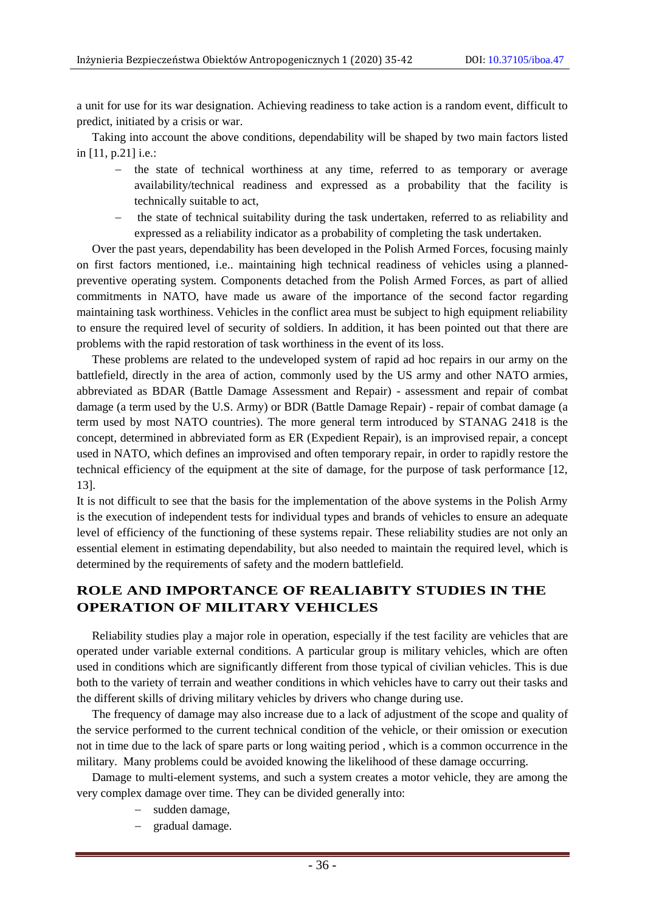a unit for use for its war designation. Achieving readiness to take action is a random event, difficult to predict, initiated by a crisis or war.

Taking into account the above conditions, dependability will be shaped by two main factors listed in [11, p.21] i.e.:

- the state of technical worthiness at any time, referred to as temporary or average availability/technical readiness and expressed as a probability that the facility is technically suitable to act,
- the state of technical suitability during the task undertaken, referred to as reliability and expressed as a reliability indicator as a probability of completing the task undertaken.

Over the past years, dependability has been developed in the Polish Armed Forces, focusing mainly on first factors mentioned, i.e.. maintaining high technical readiness of vehicles using a plannedpreventive operating system. Components detached from the Polish Armed Forces, as part of allied commitments in NATO, have made us aware of the importance of the second factor regarding maintaining task worthiness. Vehicles in the conflict area must be subject to high equipment reliability to ensure the required level of security of soldiers. In addition, it has been pointed out that there are problems with the rapid restoration of task worthiness in the event of its loss.

These problems are related to the undeveloped system of rapid ad hoc repairs in our army on the battlefield, directly in the area of action, commonly used by the US army and other NATO armies, abbreviated as BDAR (Battle Damage Assessment and Repair) - assessment and repair of combat damage (a term used by the U.S. Army) or BDR (Battle Damage Repair) - repair of combat damage (a term used by most NATO countries). The more general term introduced by STANAG 2418 is the concept, determined in abbreviated form as ER (Expedient Repair), is an improvised repair, a concept used in NATO, which defines an improvised and often temporary repair, in order to rapidly restore the technical efficiency of the equipment at the site of damage, for the purpose of task performance [12, 13].

It is not difficult to see that the basis for the implementation of the above systems in the Polish Army is the execution of independent tests for individual types and brands of vehicles to ensure an adequate level of efficiency of the functioning of these systems repair. These reliability studies are not only an essential element in estimating dependability, but also needed to maintain the required level, which is determined by the requirements of safety and the modern battlefield.

### **ROLE AND IMPORTANCE OF REALIABITY STUDIES IN THE OPERATION OF MILITARY VEHICLES**

Reliability studies play a major role in operation, especially if the test facility are vehicles that are operated under variable external conditions. A particular group is military vehicles, which are often used in conditions which are significantly different from those typical of civilian vehicles. This is due both to the variety of terrain and weather conditions in which vehicles have to carry out their tasks and the different skills of driving military vehicles by drivers who change during use.

The frequency of damage may also increase due to a lack of adjustment of the scope and quality of the service performed to the current technical condition of the vehicle, or their omission or execution not in time due to the lack of spare parts or long waiting period , which is a common occurrence in the military. Many problems could be avoided knowing the likelihood of these damage occurring.

Damage to multi-element systems, and such a system creates a motor vehicle, they are among the very complex damage over time. They can be divided generally into:

- sudden damage,
- gradual damage.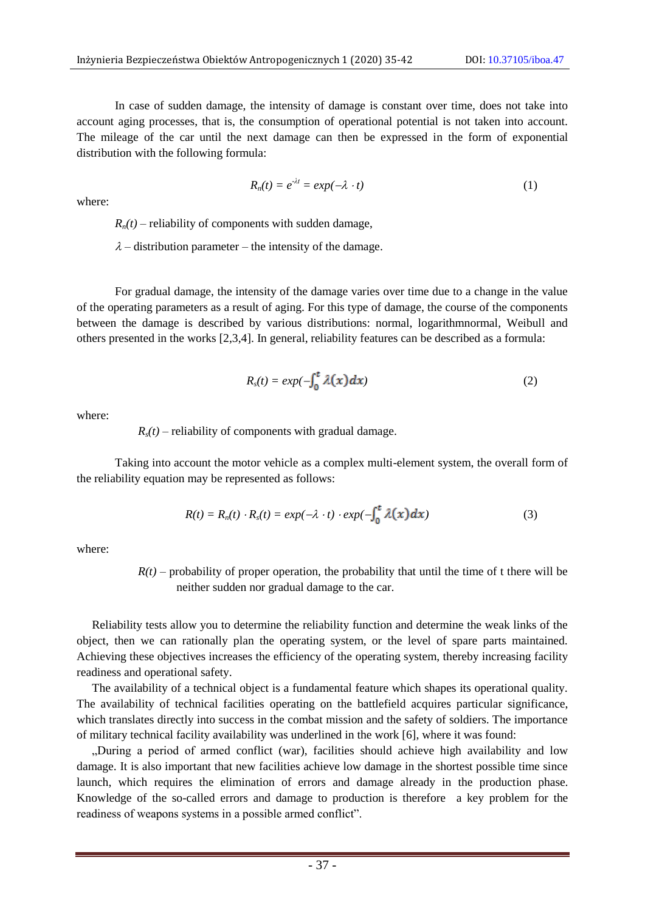In case of sudden damage, the intensity of damage is constant over time, does not take into account aging processes, that is, the consumption of operational potential is not taken into account. The mileage of the car until the next damage can then be expressed in the form of exponential distribution with the following formula:

$$
R_n(t) = e^{-\lambda t} = \exp(-\lambda \cdot t) \tag{1}
$$

where:

 $R_n(t)$  – reliability of components with sudden damage,

 $\lambda$  – distribution parameter – the intensity of the damage.

For gradual damage, the intensity of the damage varies over time due to a change in the value of the operating parameters as a result of aging. For this type of damage, the course of the components between the damage is described by various distributions: normal, logarithmnormal, Weibull and others presented in the works [2,3,4]. In general, reliability features can be described as a formula:

$$
R_s(t) = exp(-\int_0^t \lambda(x) dx)
$$
 (2)

where:

 $R_s(t)$  – reliability of components with gradual damage.

Taking into account the motor vehicle as a complex multi-element system, the overall form of the reliability equation may be represented as follows:

$$
R(t) = R_n(t) \cdot R_s(t) = exp(-\lambda \cdot t) \cdot exp(-\int_0^t \lambda(x) dx)
$$
 (3)

where:

 $R(t)$  – probability of proper operation, the probability that until the time of t there will be neither sudden nor gradual damage to the car.

Reliability tests allow you to determine the reliability function and determine the weak links of the object, then we can rationally plan the operating system, or the level of spare parts maintained. Achieving these objectives increases the efficiency of the operating system, thereby increasing facility readiness and operational safety.

The availability of a technical object is a fundamental feature which shapes its operational quality. The availability of technical facilities operating on the battlefield acquires particular significance, which translates directly into success in the combat mission and the safety of soldiers. The importance of military technical facility availability was underlined in the work [6], where it was found:

"During a period of armed conflict (war), facilities should achieve high availability and low damage. It is also important that new facilities achieve low damage in the shortest possible time since launch, which requires the elimination of errors and damage already in the production phase. Knowledge of the so-called errors and damage to production is therefore a key problem for the readiness of weapons systems in a possible armed conflict".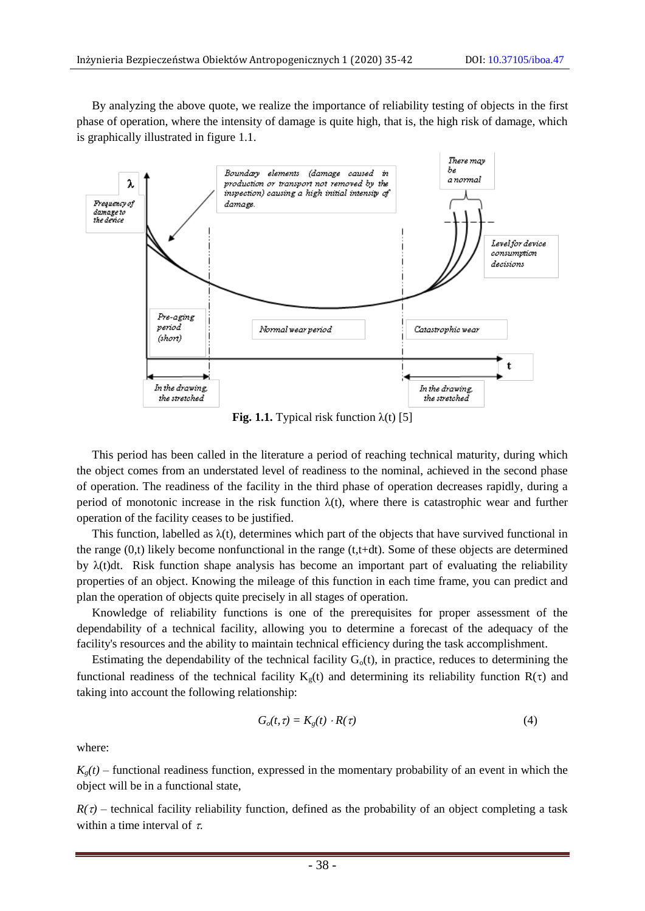By analyzing the above quote, we realize the importance of reliability testing of objects in the first phase of operation, where the intensity of damage is quite high, that is, the high risk of damage, which is graphically illustrated in figure 1.1.



**Fig. 1.1.** Typical risk function  $\lambda(t)$  [5]

This period has been called in the literature a period of reaching technical maturity, during which the object comes from an understated level of readiness to the nominal, achieved in the second phase of operation. The readiness of the facility in the third phase of operation decreases rapidly, during a period of monotonic increase in the risk function  $\lambda(t)$ , where there is catastrophic wear and further operation of the facility ceases to be justified.

This function, labelled as  $\lambda(t)$ , determines which part of the objects that have survived functional in the range (0,t) likely become nonfunctional in the range (t,t+dt). Some of these objects are determined by  $\lambda(t)dt$ . Risk function shape analysis has become an important part of evaluating the reliability properties of an object. Knowing the mileage of this function in each time frame, you can predict and plan the operation of objects quite precisely in all stages of operation.

Knowledge of reliability functions is one of the prerequisites for proper assessment of the dependability of a technical facility, allowing you to determine a forecast of the adequacy of the facility's resources and the ability to maintain technical efficiency during the [task accomplishment.](https://www.diki.pl/slownik-angielskiego?q=task+accomplishment)

Estimating the dependability of the technical facility  $G_0(t)$ , in practice, reduces to determining the functional readiness of the technical facility  $K_g(t)$  and determining its reliability function  $R(\tau)$  and taking into account the following relationship:

$$
G_o(t, \tau) = K_g(t) \cdot R(\tau) \tag{4}
$$

where:

 $K_{g}(t)$  – functional readiness function, expressed in the momentary probability of an event in which the object will be in a functional state,

 $R(\tau)$  – technical facility reliability function, defined as the probability of an object completing a task within a time interval of  $\tau$ .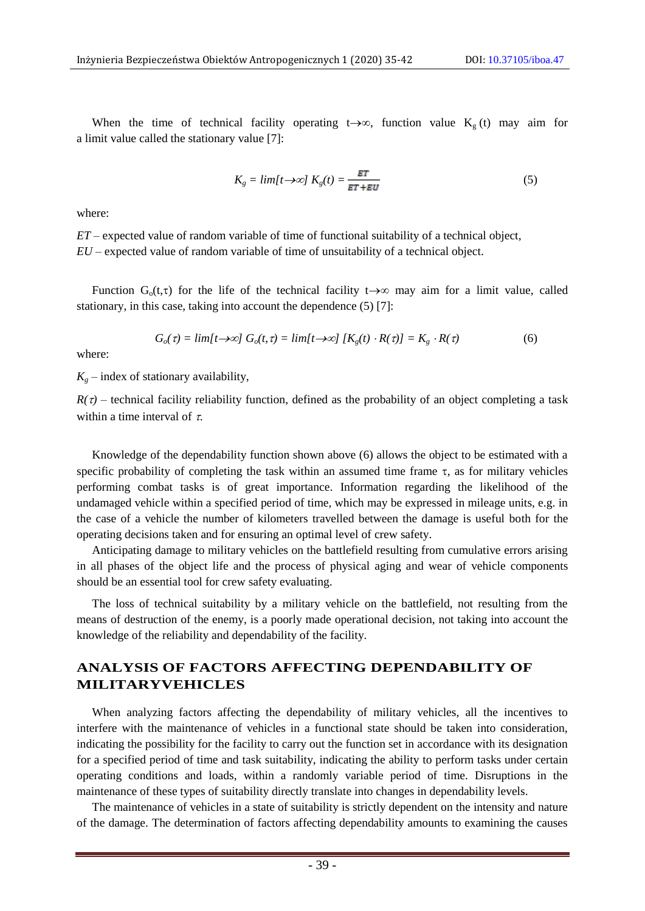When the time of technical facility operating  $t\rightarrow\infty$ , function value  $K_g(t)$  may aim for a limit value called the stationary value [7]:

$$
K_g = \lim\{t \to \infty\} \ K_g(t) = \frac{ET}{ET + EU} \tag{5}
$$

where:

*ET* – expected value of random variable of time of functional suitability of a technical object, *EU* – expected value of random variable of time of unsuitability of a technical object.

Function  $G_0(t,\tau)$  for the life of the technical facility  $t\rightarrow\infty$  may aim for a limit value, called stationary, in this case, taking into account the dependence (5) [7]:

$$
G_o(\tau) = \lim[t \to \infty] \ G_o(t, \tau) = \lim[t \to \infty] \ [K_g(t) \cdot R(\tau)] = K_g \cdot R(\tau) \tag{6}
$$

where:

 $K_q$  – index of stationary availability,

 $R(\tau)$  – technical facility reliability function, defined as the probability of an object completing a task within a time interval of  $\tau$ .

Knowledge of the dependability function shown above (6) allows the object to be estimated with a specific probability of completing the task within an assumed time frame  $\tau$ , as for military vehicles performing combat tasks is of great importance. Information regarding the likelihood of the undamaged vehicle within a specified period of time, which may be expressed in mileage units, e.g. in the case of a vehicle the number of kilometers travelled between the damage is useful both for the operating decisions taken and for ensuring an optimal level of crew safety.

Anticipating damage to military vehicles on the battlefield resulting from cumulative errors arising in all phases of the object life and the process of physical aging and wear of vehicle components should be an essential tool for crew safety evaluating.

The loss of technical suitability by a military vehicle on the battlefield, not resulting from the means of destruction of the enemy, is a poorly made operational decision, not taking into account the knowledge of the reliability and dependability of the facility.

### **ANALYSIS OF FACTORS AFFECTING DEPENDABILITY OF MILITARYVEHICLES**

When analyzing factors affecting the dependability of military vehicles, all the incentives to interfere with the maintenance of vehicles in a functional state should be taken into consideration, indicating the possibility for the facility to carry out the function set in accordance with its designation for a specified period of time and task suitability, indicating the ability to perform tasks under certain operating conditions and loads, within a randomly variable period of time. Disruptions in the maintenance of these types of suitability directly translate into changes in dependability levels.

The maintenance of vehicles in a state of suitability is strictly dependent on the intensity and nature of the damage. The determination of factors affecting dependability amounts to examining the causes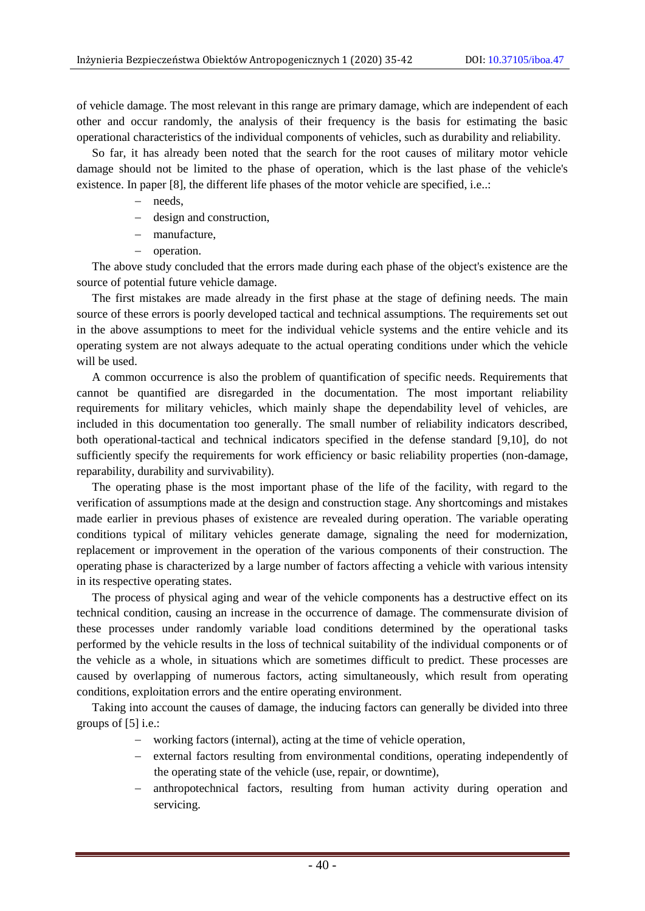of vehicle damage. The most relevant in this range are primary damage, which are independent of each other and occur randomly, the analysis of their frequency is the basis for estimating the basic operational characteristics of the individual components of vehicles, such as durability and reliability.

So far, it has already been noted that the search for the root causes of military motor vehicle damage should not be limited to the phase of operation, which is the last phase of the vehicle's existence. In paper [8], the different life phases of the motor vehicle are specified, i.e..:

- needs,
- design and construction,
- manufacture,
- operation.

The above study concluded that the errors made during each phase of the object's existence are the source of potential future vehicle damage.

The first mistakes are made already in the first phase at the stage of defining needs. The main source of these errors is poorly developed tactical and technical assumptions. The requirements set out in the above assumptions to meet for the individual vehicle systems and the entire vehicle and its operating system are not always adequate to the actual operating conditions under which the vehicle will be used.

A common occurrence is also the problem of quantification of specific needs. Requirements that cannot be quantified are disregarded in the documentation. The most important reliability requirements for military vehicles, which mainly shape the dependability level of vehicles, are included in this documentation too generally. The small number of reliability indicators described, both operational-tactical and technical indicators specified in the defense standard [9,10], do not sufficiently specify the requirements for work efficiency or basic reliability properties (non-damage, reparability, durability and survivability).

The operating phase is the most important phase of the life of the facility, with regard to the verification of assumptions made at the design and construction stage. Any shortcomings and mistakes made earlier in previous phases of existence are revealed during operation. The variable operating conditions typical of military vehicles generate damage, signaling the need for modernization, replacement or improvement in the operation of the various components of their construction. The operating phase is characterized by a large number of factors affecting a vehicle with various intensity in its respective operating states.

The process of physical aging and wear of the vehicle components has a destructive effect on its technical condition, causing an increase in the occurrence of damage. The commensurate division of these processes under randomly variable load conditions determined by the operational tasks performed by the vehicle results in the loss of technical suitability of the individual components or of the vehicle as a whole, in situations which are sometimes difficult to predict. These processes are caused by overlapping of numerous factors, acting simultaneously, which result from operating conditions, exploitation errors and the entire operating environment.

Taking into account the causes of damage, the inducing factors can generally be divided into three groups of [5] i.e.:

- working factors (internal), acting at the time of vehicle operation,
- external factors resulting from environmental conditions, operating independently of the operating state of the vehicle (use, repair, or downtime),
- anthropotechnical factors, resulting from human activity during operation and servicing.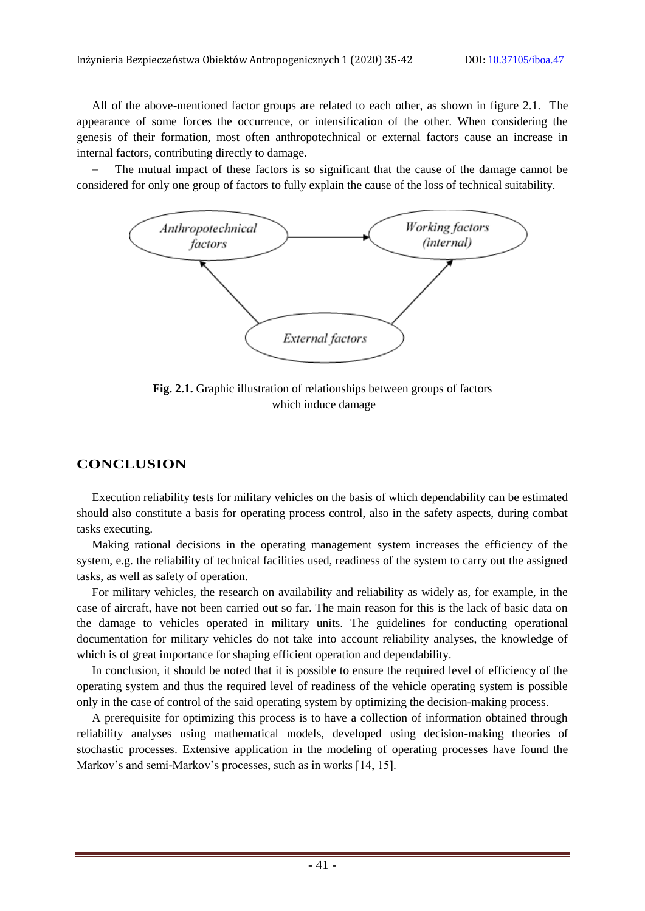All of the above-mentioned factor groups are related to each other, as shown in figure 2.1. The appearance of some forces the occurrence, or intensification of the other. When considering the genesis of their formation, most often anthropotechnical or external factors cause an increase in internal factors, contributing directly to damage.

 The mutual impact of these factors is so significant that the cause of the damage cannot be considered for only one group of factors to fully explain the cause of the loss of technical suitability.



**Fig. 2.1.** Graphic illustration of relationships between groups of factors which induce damage

#### **CONCLUSION**

Execution reliability tests for military vehicles on the basis of which dependability can be estimated should also constitute a basis for operating process control, also in the safety aspects, during combat tasks executing.

Making rational decisions in the operating management system increases the efficiency of the system, e.g. the reliability of technical facilities used, readiness of the system to carry out the assigned tasks, as well as safety of operation.

For military vehicles, the research on availability and reliability as widely as, for example, in the case of aircraft, have not been carried out so far. The main reason for this is the lack of basic data on the damage to vehicles operated in military units. The guidelines for conducting operational documentation for military vehicles do not take into account reliability analyses, the knowledge of which is of great importance for shaping efficient operation and dependability.

In conclusion, it should be noted that it is possible to ensure the required level of efficiency of the operating system and thus the required level of readiness of the vehicle operating system is possible only in the case of control of the said operating system by optimizing the decision-making process.

A prerequisite for optimizing this process is to have a collection of information obtained through reliability analyses using mathematical models, developed using decision-making theories of stochastic processes. Extensive application in the modeling of operating processes have found the Markov's and semi-Markov's processes, such as in works [14, 15].